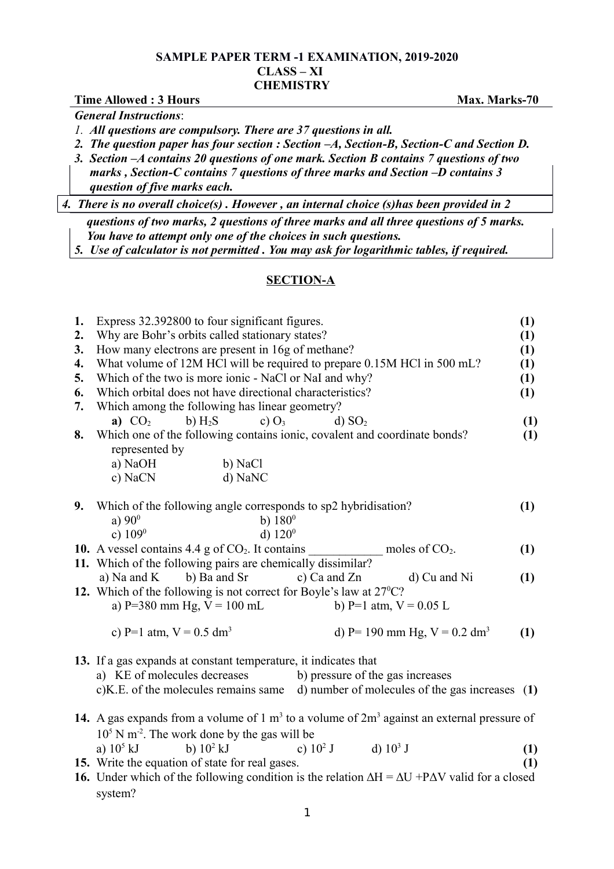## **SAMPLE PAPER TERM -1 EXAMINATION, 2019-2020 CLASS – XI CHEMISTRY**

|    | <b>Time Allowed: 3 Hours</b>                                                                                      | Max. Marks-70    |  |  |  |  |
|----|-------------------------------------------------------------------------------------------------------------------|------------------|--|--|--|--|
|    | <b>General Instructions:</b>                                                                                      |                  |  |  |  |  |
|    | 1. All questions are compulsory. There are 37 questions in all.                                                   |                  |  |  |  |  |
|    | 2. The question paper has four section : Section $-A$ , Section-B, Section-C and Section D.                       |                  |  |  |  |  |
|    | 3. Section - A contains 20 questions of one mark. Section B contains 7 questions of two                           |                  |  |  |  |  |
|    | marks, Section-C contains 7 questions of three marks and Section $-D$ contains 3                                  |                  |  |  |  |  |
|    | question of five marks each.                                                                                      |                  |  |  |  |  |
|    | 4. There is no overall choice(s). However, an internal choice (s) has been provided in 2                          |                  |  |  |  |  |
|    | questions of two marks, 2 questions of three marks and all three questions of 5 marks.                            |                  |  |  |  |  |
|    | You have to attempt only one of the choices in such questions.                                                    |                  |  |  |  |  |
|    | 5. Use of calculator is not permitted. You may ask for logarithmic tables, if required.                           |                  |  |  |  |  |
|    | <b>SECTION-A</b>                                                                                                  |                  |  |  |  |  |
|    |                                                                                                                   |                  |  |  |  |  |
| 1. | Express 32.392800 to four significant figures.                                                                    | (1)              |  |  |  |  |
| 2. | Why are Bohr's orbits called stationary states?                                                                   | (1)              |  |  |  |  |
| 3. | How many electrons are present in 16g of methane?                                                                 | (1)              |  |  |  |  |
| 4. | What volume of 12M HCl will be required to prepare 0.15M HCl in 500 mL?                                           | (1)              |  |  |  |  |
| 5. | Which of the two is more ionic - NaCl or NaI and why?                                                             | (1)              |  |  |  |  |
| 6. | Which orbital does not have directional characteristics?                                                          | (1)              |  |  |  |  |
| 7. | Which among the following has linear geometry?                                                                    |                  |  |  |  |  |
|    | a) $CO2$<br>b) $H_2S$<br>c) $O_3$<br>d) SO <sub>2</sub>                                                           | (1)              |  |  |  |  |
| 8. | Which one of the following contains ionic, covalent and coordinate bonds?                                         | (1)              |  |  |  |  |
|    | represented by                                                                                                    |                  |  |  |  |  |
|    | a) NaOH<br>b) NaCl                                                                                                |                  |  |  |  |  |
|    | c) NaCN<br>d) NaNC                                                                                                |                  |  |  |  |  |
| 9. | Which of the following angle corresponds to sp2 hybridisation?                                                    | (1)              |  |  |  |  |
|    | b) $180^{\circ}$<br>a) $90^{\circ}$                                                                               |                  |  |  |  |  |
|    | c) $109^0$<br>d) $120^{\circ}$                                                                                    |                  |  |  |  |  |
|    | 10. A vessel contains $4.4$ g of $CO2$ . It contains<br>moles of $CO2$ .                                          | (1)              |  |  |  |  |
|    | 11. Which of the following pairs are chemically dissimilar?                                                       |                  |  |  |  |  |
|    | a) Na and K<br>b) Ba and Sr<br>c) Ca and $Zn$<br>d) Cu and Ni                                                     | (1)              |  |  |  |  |
|    | 12. Which of the following is not correct for Boyle's law at $27^{\circ}$ C?                                      |                  |  |  |  |  |
|    | a) P=380 mm Hg, $V = 100$ mL<br>b) P=1 atm, $V = 0.05$ L                                                          |                  |  |  |  |  |
|    | c) P=1 atm, $V = 0.5$ dm <sup>3</sup><br>d) P= 190 mm Hg, $V = 0.2$ dm <sup>3</sup>                               | (1)              |  |  |  |  |
|    | 13. If a gas expands at constant temperature, it indicates that                                                   |                  |  |  |  |  |
|    | a) KE of molecules decreases<br>b) pressure of the gas increases                                                  |                  |  |  |  |  |
|    | c)K.E. of the molecules remains same<br>d) number of molecules of the gas increases $(1)$                         |                  |  |  |  |  |
|    | 14. A gas expands from a volume of $1 \text{ m}^3$ to a volume of $2 \text{ m}^3$ against an external pressure of |                  |  |  |  |  |
|    | $105$ N m <sup>-2</sup> . The work done by the gas will be                                                        |                  |  |  |  |  |
|    | b) $10^2$ kJ<br>a) $10^5$ kJ<br>d) $10^3$ J<br>c) $10^2$ J                                                        | (1)              |  |  |  |  |
|    | 15. Write the equation of state for real gases.                                                                   | $\left(1\right)$ |  |  |  |  |
|    |                                                                                                                   |                  |  |  |  |  |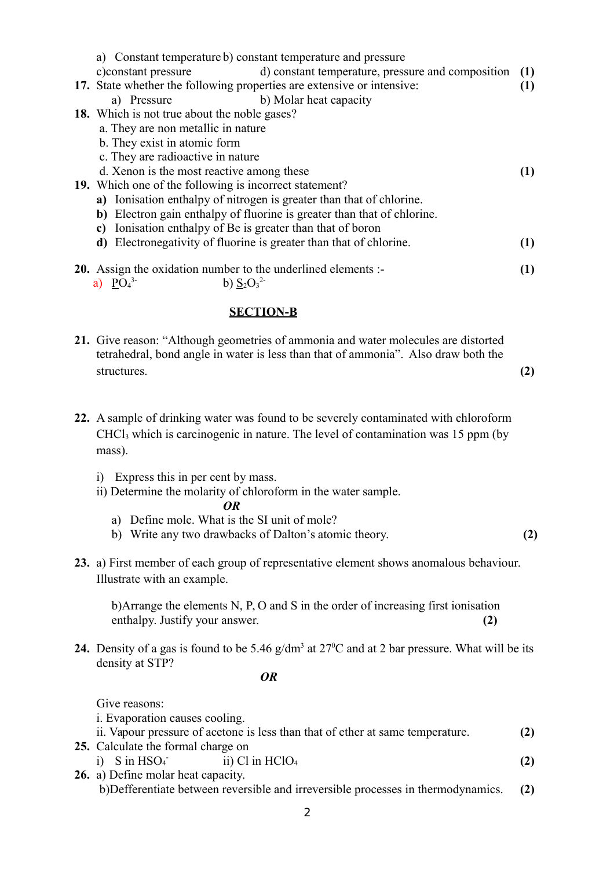| a) Constant temperature b) constant temperature and pressure                  |     |  |  |  |  |  |
|-------------------------------------------------------------------------------|-----|--|--|--|--|--|
| d) constant temperature, pressure and composition (1)<br>c) constant pressure |     |  |  |  |  |  |
| 17. State whether the following properties are extensive or intensive:        |     |  |  |  |  |  |
| b) Molar heat capacity<br>a) Pressure                                         |     |  |  |  |  |  |
| <b>18.</b> Which is not true about the noble gases?                           |     |  |  |  |  |  |
| a. They are non metallic in nature                                            |     |  |  |  |  |  |
| b. They exist in atomic form                                                  |     |  |  |  |  |  |
| c. They are radioactive in nature                                             |     |  |  |  |  |  |
| d. Xenon is the most reactive among these                                     |     |  |  |  |  |  |
| 19. Which one of the following is incorrect statement?                        |     |  |  |  |  |  |
| a) Ionisation enthalpy of nitrogen is greater than that of chlorine.          |     |  |  |  |  |  |
| b) Electron gain enthalpy of fluorine is greater than that of chlorine.       |     |  |  |  |  |  |
| Ionisation enthalpy of Be is greater than that of boron<br>c)                 |     |  |  |  |  |  |
| <b>d</b> ) Electronegativity of fluorine is greater than that of chlorine.    | (1) |  |  |  |  |  |
| <b>20.</b> Assign the oxidation number to the underlined elements :-          |     |  |  |  |  |  |
| a) $PO_4^3$<br>b) $S_2O_3^2$                                                  |     |  |  |  |  |  |

## **SECTION-B**

- **21.** Give reason: "Although geometries of ammonia and water molecules are distorted tetrahedral, bond angle in water is less than that of ammonia". Also draw both the structures. **(2)**
- **22.** A sample of drinking water was found to be severely contaminated with chloroform CHCl3 which is carcinogenic in nature. The level of contamination was 15 ppm (by mass).
	- i) Express this in per cent by mass.
	- ii) Determine the molarity of chloroform in the water sample.

$$
OR
$$

- a) Define mole. What is the SI unit of mole?
- b) Write any two drawbacks of Dalton's atomic theory. **(2)**
- **23.** a) First member of each group of representative element shows anomalous behaviour. Illustrate with an example.

b)Arrange the elements N, P, O and S in the order of increasing first ionisation enthalpy. Justify your answer. **(2)**

**24.** Density of a gas is found to be 5.46  $g/dm<sup>3</sup>$  at 27<sup>o</sup>C and at 2 bar pressure. What will be its density at STP?

*OR*

Give reasons:

i. Evaporation causes cooling.

| ii. Vapour pressure of acetone is less than that of ether at same temperature. |                            |                   |     |  |  |
|--------------------------------------------------------------------------------|----------------------------|-------------------|-----|--|--|
| 25. Calculate the formal charge on                                             |                            |                   |     |  |  |
|                                                                                | i) $S$ in HSO <sub>4</sub> | ii) Cl in $HC1O4$ | (2) |  |  |

**26.** a) Define molar heat capacity. b)Defferentiate between reversible and irreversible processes in thermodynamics. **(2)**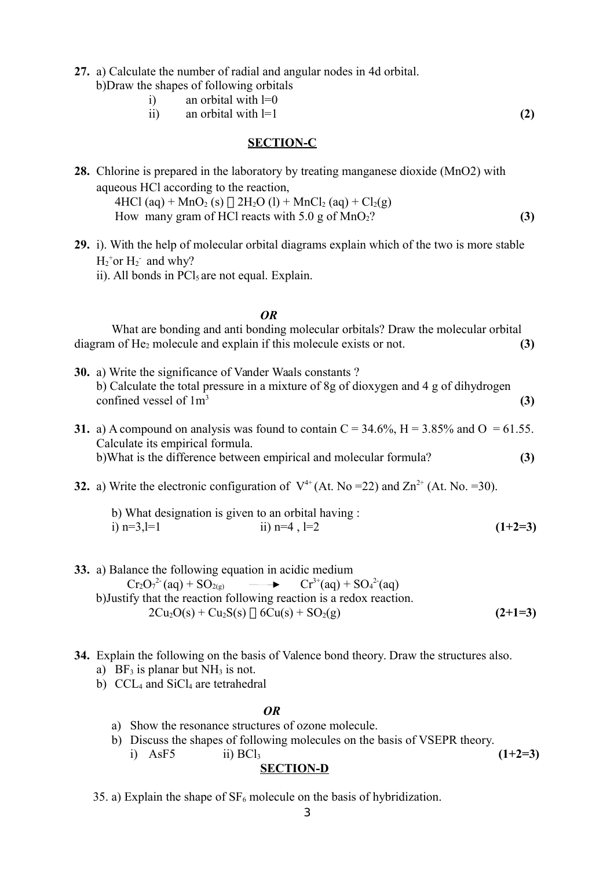- **27.** a) Calculate the number of radial and angular nodes in 4d orbital.
	- b)Draw the shapes of following orbitals
		- i) an orbital with  $l=0$
		- ii) an orbital with  $l=1$  (2)

# **SECTION-C**

- **28.** Chlorine is prepared in the laboratory by treating manganese dioxide (MnO2) with aqueous HCl according to the reaction, 4HCl (aq) + MnO<sub>2</sub> (s)  $\Box$  2H<sub>2</sub>O (l) + MnCl<sub>2</sub> (aq) + Cl<sub>2</sub>(g) How many gram of HCl reacts with  $5.0 \text{ g}$  of MnO<sub>2</sub>? **(3)**
- **29.** i). With the help of molecular orbital diagrams explain which of the two is more stable  $H_2$ <sup>+</sup>or  $H_2$ <sup>-</sup> and why? ii). All bonds in  $\text{PC}l_5$  are not equal. Explain.

## *OR*

What are bonding and anti bonding molecular orbitals? Draw the molecular orbital diagram of He<sub>2</sub> molecule and explain if this molecule exists or not. **(3)** 

- **30.** a) Write the significance of Vander Waals constants ? b) Calculate the total pressure in a mixture of 8g of dioxygen and 4 g of dihydrogen confined vessel of  $1m<sup>3</sup>$ **(3) 31.** a) A compound on analysis was found to contain  $C = 34.6\%$ ,  $H = 3.85\%$  and  $O = 61.55$ . Calculate its empirical formula. b)What is the difference between empirical and molecular formula? **(3)**
- **32.** a) Write the electronic configuration of  $V^{4+}$  (At. No =22) and Zn<sup>2+</sup> (At. No. =30).
	- b) What designation is given to an orbital having : i)  $n=3, l=1$  ii)  $n=4, l=2$  **(1+2=3)**
- **33.** a) Balance the following equation in acidic medium  $Cr_2O_7^{2-}$ (aq) + SO<sub>2(g)</sub>  $\longrightarrow$   $Cr^{3+}$ (aq) + SO<sub>4</sub>  $Cr^{3+}(aq) + SO_4^{2-}(aq)$  b)Justify that the reaction following reaction is a redox reaction.  $2Cu_2O(s) + Cu_2S(s) \prod_1 6Cu(s) + SO_2(g)$  (2+1=3)
- **34.** Explain the following on the basis of Valence bond theory. Draw the structures also.
	- a) BF<sub>3</sub> is planar but  $NH<sub>3</sub>$  is not.
	- b)  $CCL<sub>4</sub>$  and  $SiCl<sub>4</sub>$  are tetrahedral

#### *OR*

- a) Show the resonance structures of ozone molecule.
- b) Discuss the shapes of following molecules on the basis of VSEPR theory.

i)  $AsF5$  ii)  $BC1_3$  (1+2=3)

#### **SECTION-D**

35. a) Explain the shape of  $SF_6$  molecule on the basis of hybridization.